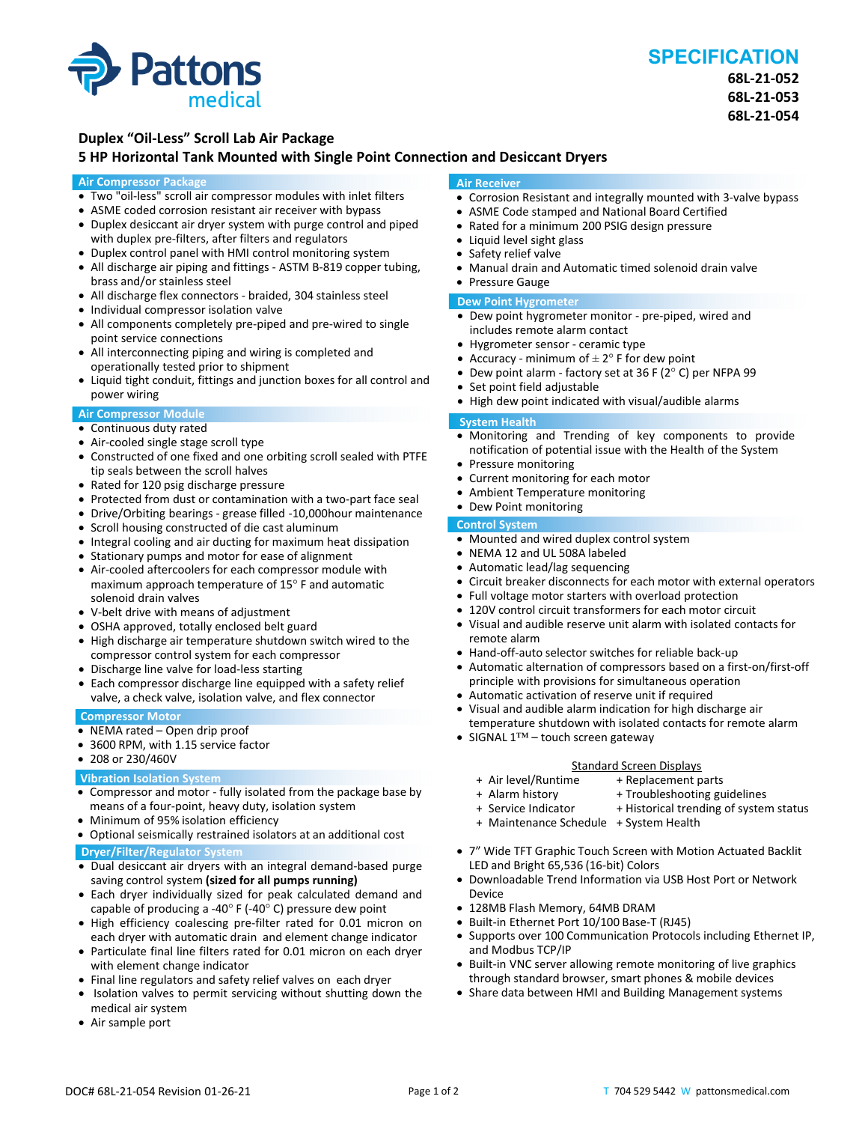

# **SPECIFICATION**

**68L‐21‐052 68L‐21‐053 68L‐21‐054**

## **Duplex "Oil‐Less" Scroll Lab Air Package**

### **5 HP Horizontal Tank Mounted with Single Point Connection and Desiccant Dryers**

#### **Air Compressor Package**

- Two "oil-less" scroll air compressor modules with inlet filters
- ASME coded corrosion resistant air receiver with bypass
- Duplex desiccant air dryer system with purge control and piped with duplex pre-filters, after filters and regulators
- Duplex control panel with HMI control monitoring system
- All discharge air piping and fittings ‐ ASTM B‐819 copper tubing, brass and/or stainless steel
- All discharge flex connectors ‐ braided, 304 stainless steel
- Individual compressor isolation valve
- All components completely pre-piped and pre-wired to single point service connections
- All interconnecting piping and wiring is completed and operationally tested prior to shipment
- Liquid tight conduit, fittings and junction boxes for all control and power wiring

#### **Air Compressor Module**

- Continuous duty rated
- Air-cooled single stage scroll type
- Constructed of one fixed and one orbiting scroll sealed with PTFE tip seals between the scroll halves
- Rated for 120 psig discharge pressure
- Protected from dust or contamination with a two-part face seal
- Drive/Orbiting bearings ‐ grease filled ‐10,000hour maintenance
- Scroll housing constructed of die cast aluminum
- Integral cooling and air ducting for maximum heat dissipation
- Stationary pumps and motor for ease of alignment
- Air-cooled aftercoolers for each compressor module with maximum approach temperature of 15° F and automatic solenoid drain valves
- V‐belt drive with means of adjustment
- OSHA approved, totally enclosed belt guard
- High discharge air temperature shutdown switch wired to the compressor control system for each compressor
- Discharge line valve for load-less starting
- Each compressor discharge line equipped with a safety relief valve, a check valve, isolation valve, and flex connector

#### **Compressor Motor**

- NEMA rated Open drip proof
- 3600 RPM, with 1.15 service factor
- 208 or 230/460V

#### **Vibration Isolation System**

- Compressor and motor ‐ fully isolated from the package base by means of a four‐point, heavy duty, isolation system
- Minimum of 95% isolation efficiency
- Optional seismically restrained isolators at an additional cost **Dryer/Filter/Regulator System**
- Dual desiccant air dryers with an integral demand-based purge saving control system **(sized for all pumps running)**
- Each dryer individually sized for peak calculated demand and capable of producing a -40 $\degree$  F (-40 $\degree$  C) pressure dew point
- High efficiency coalescing pre-filter rated for 0.01 micron on each dryer with automatic drain and element change indicator
- Particulate final line filters rated for 0.01 micron on each dryer with element change indicator
- Final line regulators and safety relief valves on each dryer
- Isolation valves to permit servicing without shutting down the medical air system
- Air sample port

#### **Air Receiver**

- Corrosion Resistant and integrally mounted with 3-valve bypass
- ASME Code stamped and National Board Certified
- Rated for a minimum 200 PSIG design pressure
- Liquid level sight glass
- Safety relief valve
- Manual drain and Automatic timed solenoid drain valve
- Pressure Gauge

#### **Dew Point Hygrometer**

- Dew point hygrometer monitor pre-piped, wired and includes remote alarm contact
- Hygrometer sensor ‐ ceramic type
- Accuracy minimum of  $\pm 2^{\circ}$  F for dew point
- Dew point alarm ‐ factory set at 36 F (2° C) per NFPA 99
- Set point field adjustable
- High dew point indicated with visual/audible alarms

#### **System Health**

- Monitoring and Trending of key components to provide notification of potential issue with the Health of the System
- Pressure monitoring
- Current monitoring for each motor
- Ambient Temperature monitoring
- Dew Point monitoring

## **Control System**

- Mounted and wired duplex control system
- NEMA 12 and UL 508A labeled
- Automatic lead/lag sequencing
- Circuit breaker disconnects for each motor with external operators
- Full voltage motor starters with overload protection
- 120V control circuit transformers for each motor circuit
- Visual and audible reserve unit alarm with isolated contacts for remote alarm
- Hand-off-auto selector switches for reliable back-up
- Automatic alternation of compressors based on a first-on/first-off principle with provisions for simultaneous operation
- Automatic activation of reserve unit if required
- Visual and audible alarm indication for high discharge air temperature shutdown with isolated contacts for remote alarm
- SIGNAL 1™ touch screen gateway

- Standard Screen Displays<br>Air level/Runtime + Replacement p + + Air level/Runtime + Replacement parts
	- + Troubleshooting guidelines
	-
	-
- + Maintenance Schedule + System Health
- 7" Wide TFT Graphic Touch Screen with Motion Actuated Backlit LED and Bright 65,536 (16‐bit) Colors
- Downloadable Trend Information via USB Host Port or Network Device
- 128MB Flash Memory, 64MB DRAM
- Built-in Ethernet Port 10/100 Base-T (RJ45)
- Supports over 100 Communication Protocols including Ethernet IP, and Modbus TCP/IP
- Built-in VNC server allowing remote monitoring of live graphics through standard browser, smart phones & mobile devices
- Share data between HMI and Building Management systems
- + Service Indicator + Historical trending of system status
	-